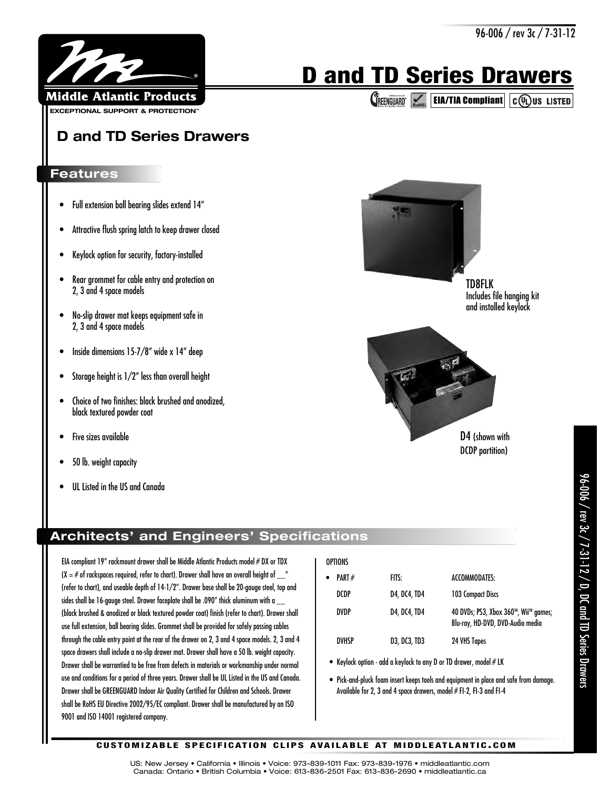

**CREENGUARD EIA/TIA Compliant C(U)** US LISTED

**D and TD Series Drawers**

**EXCEPTIONAL SUPPORT & PROTECTION™** 

Middle Atlantic Products

®

## **Features**

- Full extension ball bearing slides extend 14"
- Attractive flush spring latch to keep drawer closed
- Keylock option for security, factory-installed
- Rear grommet for cable entry and protection on 2, 3 and 4 space models
- No-slip drawer mat keeps equipment safe in 2, 3 and 4 space models
- Inside dimensions 15-7/8" wide x 14" deep
- Storage height is 1/2" less than overall height
- Choice of two finishes: black brushed and anodized, black textured powder coat
- Five sizes available
- 50 lb. weight capacity
- UL Listed in the US and Canada

## **Architects' and Engineers' Specifications**

EIA compliant 19" rackmount drawer shall be Middle Atlantic Products model # DX or TDX (X =  $\#$  of rackspaces required, refer to chart). Drawer shall have an overall height of  $\frac{m}{2}$ (refer to chart), and useable depth of 14-1/2". Drawer base shall be 20-gauge steel, top and sides shall be 16-gauge steel. Drawer faceplate shall be .090" thick aluminum with a (black brushed & anodized or black textured powder coat) finish (refer to chart). Drawer shall use full extension, ball bearing slides. Grommet shall be provided for safely passing cables through the cable entry point at the rear of the drawer on 2, 3 and 4 space models. 2, 3 and 4 space drawers shall include a no-slip drawer mat. Drawer shall have a 50 lb. weight capacity. Drawer shall be warrantied to be free from defects in materials or workmanship under normal use and conditions for a period of three years. Drawer shall be UL Listed in the US and Canada. Drawer shall be GREENGUARD Indoor Air Quality Certified for Children and Schools. Drawer shall be RoHS EU Directive 2002/95/EC compliant. Drawer shall be manufactured by an ISO 9001 and ISO 14001 registered company.

| \RT # | F |
|-------|---|
|       |   |

**OPTIONS** 

| $\bullet$ | PART#        | FITS:        | ACCOMMODATES:                                                            |
|-----------|--------------|--------------|--------------------------------------------------------------------------|
|           | DCDP         | D4, DC4, TD4 | 103 Compact Discs                                                        |
|           | <b>DVDP</b>  | D4, DC4, TD4 | 40 DVDs; PS3, Xbox 360™, Wii™ games;<br>Blu-ray, HD-DVD, DVD-Audio media |
|           | <b>DVHSP</b> | D3, DC3, TD3 | 24 VHS Tapes                                                             |

- Keylock option add a keylock to any D or TD drawer, model  $#$  LK
- Pick-and-pluck foam insert keeps tools and equipment in place and safe from damage. Available for 2, 3 and 4 space drawers, model # FI-2, FI-3 and FI-4

TD8FLK Includes file hanging kit and installed keylock



DCDP partition)

## **C U S TO M I Z A B L E S P E C I F I C AT I O N C L I P S AVA I L A B L E AT M I D D L E AT L A N T I C . C O M**

US: New Jersey • California • Illinois • Voice: 973-839-1011 Fax: 973-839-1976 • middleatlantic.com Canada: Ontario • British Columbia • Voice: 613-836-2501 Fax: 613-836-2690 • middleatlantic.ca